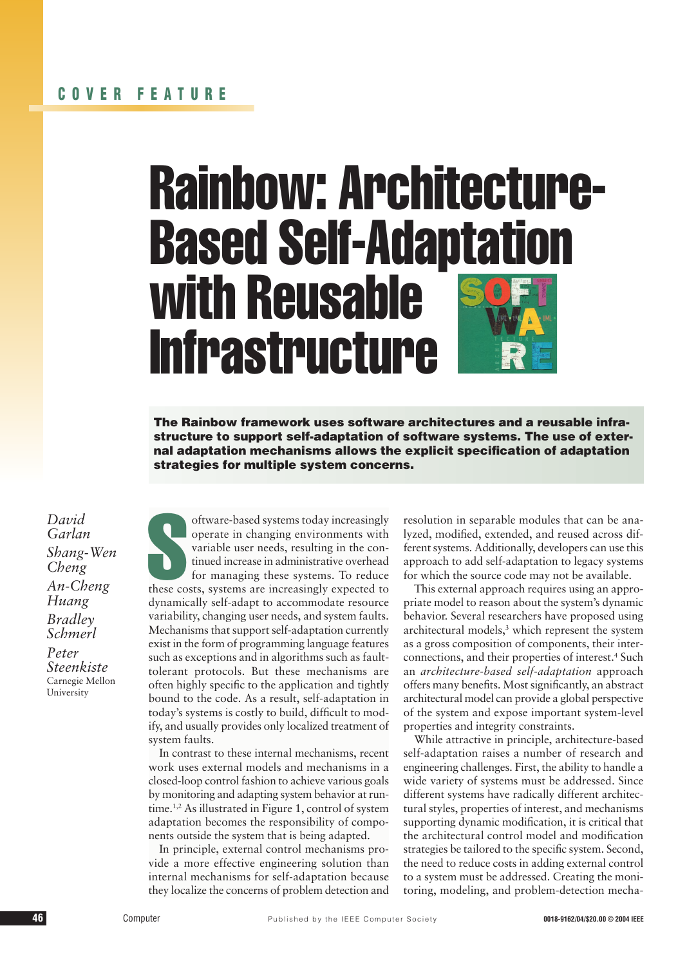# Rainbow: Architecture-Based Self-Adaptation with Reusable Infrastructure

**The Rainbow framework uses software architectures and a reusable infrastructure to support self-adaptation of software systems. The use of external adaptation mechanisms allows the explicit specification of adaptation strategies for multiple system concerns.**

*David Garlan Shang-Wen Cheng An-Cheng Huang Bradley Schmerl Peter Steenkiste* Carnegie Mellon University

oftware-based systems today increasingly<br>operate in changing environments with<br>variable user needs, resulting in the con-<br>tinued increase in administrative overhead<br>for managing these systems. To reduce<br>these costs, system oftware-based systems today increasingly operate in changing environments with variable user needs, resulting in the continued increase in administrative overhead for managing these systems. To reduce dynamically self-adapt to accommodate resource variability, changing user needs, and system faults. Mechanisms that support self-adaptation currently exist in the form of programming language features such as exceptions and in algorithms such as faulttolerant protocols. But these mechanisms are often highly specific to the application and tightly bound to the code. As a result, self-adaptation in today's systems is costly to build, difficult to modify, and usually provides only localized treatment of system faults.

In contrast to these internal mechanisms, recent work uses external models and mechanisms in a closed-loop control fashion to achieve various goals by monitoring and adapting system behavior at runtime.<sup>1,2</sup> As illustrated in Figure 1, control of system adaptation becomes the responsibility of components outside the system that is being adapted.

In principle, external control mechanisms provide a more effective engineering solution than internal mechanisms for self-adaptation because they localize the concerns of problem detection and

resolution in separable modules that can be analyzed, modified, extended, and reused across different systems. Additionally, developers can use this approach to add self-adaptation to legacy systems for which the source code may not be available.

This external approach requires using an appropriate model to reason about the system's dynamic behavior. Several researchers have proposed using architectural models,<sup>3</sup> which represent the system as a gross composition of components, their interconnections, and their properties of interest.<sup>4</sup> Such an *architecture-based self-adaptation* approach offers many benefits. Most significantly, an abstract architectural model can provide a global perspective of the system and expose important system-level properties and integrity constraints.

While attractive in principle, architecture-based self-adaptation raises a number of research and engineering challenges. First, the ability to handle a wide variety of systems must be addressed. Since different systems have radically different architectural styles, properties of interest, and mechanisms supporting dynamic modification, it is critical that the architectural control model and modification strategies be tailored to the specific system. Second, the need to reduce costs in adding external control to a system must be addressed. Creating the monitoring, modeling, and problem-detection mecha-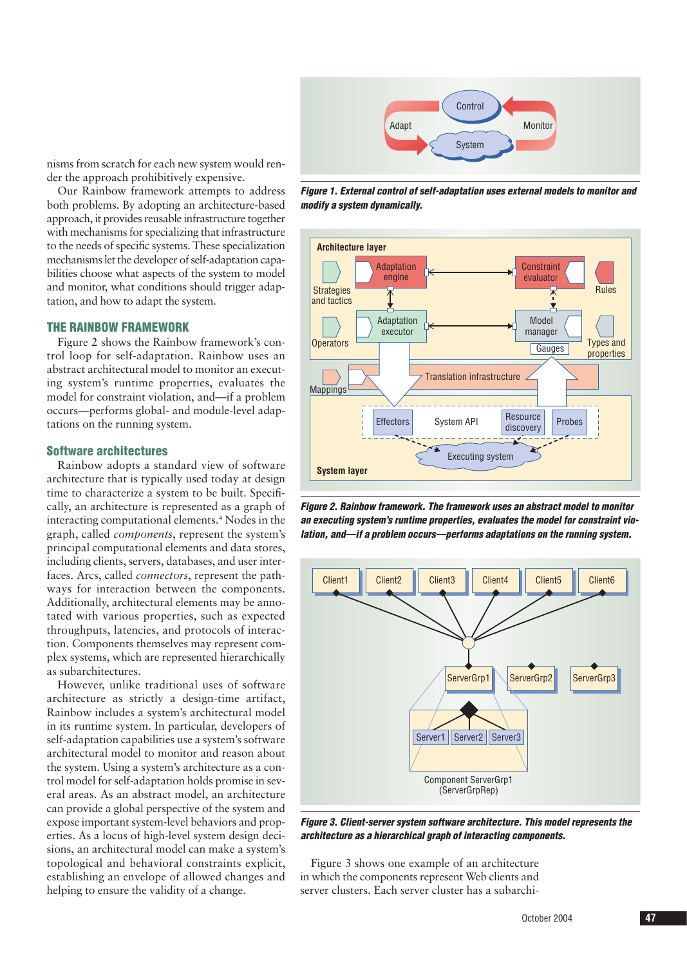

nisms from scratch for each new system would render the approach prohibitively expensive.

Our Rainbow framework attempts to address both problems. By adopting an architecture-based approach, it provides reusable infrastructure together with mechanisms for specializing that infrastructure to the needs of specific systems. These specialization mechanisms let the developer of self-adaptation capabilities choose what aspects of the system to model and monitor, what conditions should trigger adaptation, and how to adapt the system.

### **THE RAINBOW FRAMEWORK**

Figure 2 shows the Rainbow framework's control loop for self-adaptation. Rainbow uses an abstract architectural model to monitor an executing system's runtime properties, evaluates the model for constraint violation, and—if a problem occurs—performs global- and module-level adaptations on the running system.

#### **Software architectures**

Rainbow adopts a standard view of software architecture that is typically used today at design time to characterize a system to be built. Specifically, an architecture is represented as a graph of interacting computational elements.4 Nodes in the graph, called *components*, represent the system's principal computational elements and data stores, including clients, servers, databases, and user interfaces. Arcs, called *connectors*, represent the pathways for interaction between the components. Additionally, architectural elements may be annotated with various properties, such as expected throughputs, latencies, and protocols of interaction. Components themselves may represent complex systems, which are represented hierarchically as subarchitectures.

However, unlike traditional uses of software architecture as strictly a design-time artifact, Rainbow includes a system's architectural model in its runtime system. In particular, developers of self-adaptation capabilities use a system's software architectural model to monitor and reason about the system. Using a system's architecture as a control model for self-adaptation holds promise in several areas. As an abstract model, an architecture can provide a global perspective of the system and expose important system-level behaviors and properties. As a locus of high-level system design decisions, an architectural model can make a system's topological and behavioral constraints explicit, establishing an envelope of allowed changes and helping to ensure the validity of a change.

**Figure 1. External control of self-adaptation uses external models to monitor and modify a system dynamically.**



**Figure 2. Rainbow framework. The framework uses an abstract model to monitor an executing system's runtime properties, evaluates the model for constraint violation, and—if a problem occurs—performs adaptations on the running system.** 



**Figure 3. Client-server system software architecture. This model represents the architecture as a hierarchical graph of interacting components.**

Figure 3 shows one example of an architecture in which the components represent Web clients and server clusters. Each server cluster has a subarchi-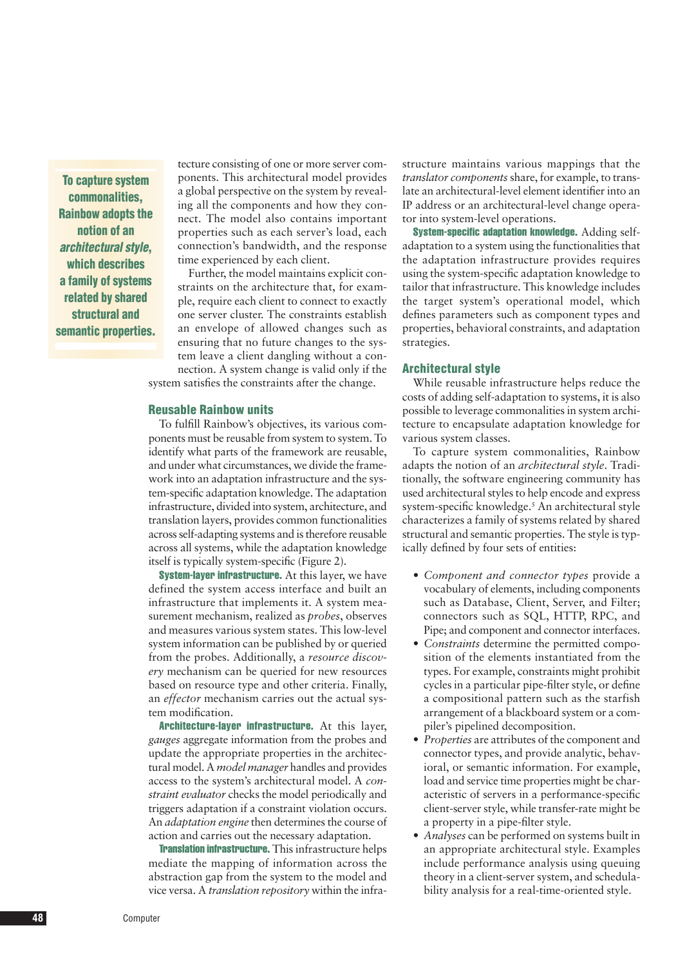**To capture system commonalities, Rainbow adopts the notion of an architectural style, which describes a family of systems related by shared structural and semantic properties.** tecture consisting of one or more server components. This architectural model provides a global perspective on the system by revealing all the components and how they connect. The model also contains important properties such as each server's load, each connection's bandwidth, and the response time experienced by each client.

Further, the model maintains explicit constraints on the architecture that, for example, require each client to connect to exactly one server cluster. The constraints establish an envelope of allowed changes such as ensuring that no future changes to the system leave a client dangling without a connection. A system change is valid only if the

system satisfies the constraints after the change.

### **Reusable Rainbow units**

To fulfill Rainbow's objectives, its various components must be reusable from system to system. To identify what parts of the framework are reusable, and under what circumstances, we divide the framework into an adaptation infrastructure and the system-specific adaptation knowledge. The adaptation infrastructure, divided into system, architecture, and translation layers, provides common functionalities across self-adapting systems and is therefore reusable across all systems, while the adaptation knowledge itself is typically system-specific (Figure 2).

System-layer infrastructure. At this layer, we have defined the system access interface and built an infrastructure that implements it. A system measurement mechanism, realized as *probes*, observes and measures various system states. This low-level system information can be published by or queried from the probes. Additionally, a *resource discovery* mechanism can be queried for new resources based on resource type and other criteria. Finally, an *effector* mechanism carries out the actual system modification.

Architecture-layer infrastructure. At this layer, *gauges* aggregate information from the probes and update the appropriate properties in the architectural model. A *model manager* handles and provides access to the system's architectural model. A *constraint evaluator* checks the model periodically and triggers adaptation if a constraint violation occurs. An *adaptation engine* then determines the course of action and carries out the necessary adaptation.

Translation infrastructure. This infrastructure helps mediate the mapping of information across the abstraction gap from the system to the model and vice versa. A *translation repository* within the infrastructure maintains various mappings that the *translator components*share, for example, to translate an architectural-level element identifier into an IP address or an architectural-level change operator into system-level operations.

System-specific adaptation knowledge. Adding selfadaptation to a system using the functionalities that the adaptation infrastructure provides requires using the system-specific adaptation knowledge to tailor that infrastructure. This knowledge includes the target system's operational model, which defines parameters such as component types and properties, behavioral constraints, and adaptation strategies.

# **Architectural style**

While reusable infrastructure helps reduce the costs of adding self-adaptation to systems, it is also possible to leverage commonalities in system architecture to encapsulate adaptation knowledge for various system classes.

To capture system commonalities, Rainbow adapts the notion of an *architectural style*. Traditionally, the software engineering community has used architectural styles to help encode and express system-specific knowledge.<sup>5</sup> An architectural style characterizes a family of systems related by shared structural and semantic properties. The style is typically defined by four sets of entities:

- *Component and connector types* provide a vocabulary of elements, including components such as Database, Client, Server, and Filter; connectors such as SQL, HTTP, RPC, and Pipe; and component and connector interfaces.
- *Constraints* determine the permitted composition of the elements instantiated from the types. For example, constraints might prohibit cycles in a particular pipe-filter style, or define a compositional pattern such as the starfish arrangement of a blackboard system or a compiler's pipelined decomposition.
- *Properties* are attributes of the component and connector types, and provide analytic, behavioral, or semantic information. For example, load and service time properties might be characteristic of servers in a performance-specific client-server style, while transfer-rate might be a property in a pipe-filter style.
- *Analyses* can be performed on systems built in an appropriate architectural style. Examples include performance analysis using queuing theory in a client-server system, and schedulability analysis for a real-time-oriented style.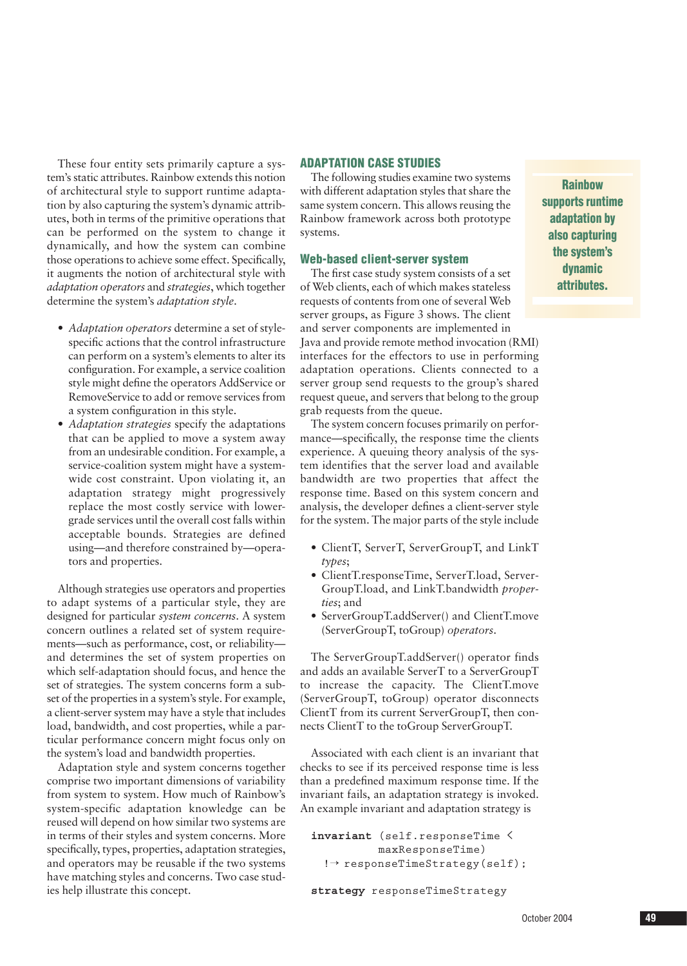These four entity sets primarily capture a system's static attributes. Rainbow extends this notion of architectural style to support runtime adaptation by also capturing the system's dynamic attributes, both in terms of the primitive operations that can be performed on the system to change it dynamically, and how the system can combine those operations to achieve some effect. Specifically, it augments the notion of architectural style with *adaptation operators* and *strategies*, which together determine the system's *adaptation style*.

- *Adaptation operators* determine a set of stylespecific actions that the control infrastructure can perform on a system's elements to alter its configuration. For example, a service coalition style might define the operators AddService or RemoveService to add or remove services from a system configuration in this style.
- *Adaptation strategies* specify the adaptations that can be applied to move a system away from an undesirable condition. For example, a service-coalition system might have a systemwide cost constraint. Upon violating it, an adaptation strategy might progressively replace the most costly service with lowergrade services until the overall cost falls within acceptable bounds. Strategies are defined using—and therefore constrained by—operators and properties.

Although strategies use operators and properties to adapt systems of a particular style, they are designed for particular *system concerns*. A system concern outlines a related set of system requirements—such as performance, cost, or reliability and determines the set of system properties on which self-adaptation should focus, and hence the set of strategies. The system concerns form a subset of the properties in a system's style. For example, a client-server system may have a style that includes load, bandwidth, and cost properties, while a particular performance concern might focus only on the system's load and bandwidth properties.

Adaptation style and system concerns together comprise two important dimensions of variability from system to system. How much of Rainbow's system-specific adaptation knowledge can be reused will depend on how similar two systems are in terms of their styles and system concerns. More specifically, types, properties, adaptation strategies, and operators may be reusable if the two systems have matching styles and concerns. Two case studies help illustrate this concept.

#### **ADAPTATION CASE STUDIES**

The following studies examine two systems with different adaptation styles that share the same system concern. This allows reusing the Rainbow framework across both prototype systems.

#### **Web-based client-server system**

The first case study system consists of a set of Web clients, each of which makes stateless requests of contents from one of several Web server groups, as Figure 3 shows. The client and server components are implemented in Java and provide remote method invocation (RMI) interfaces for the effectors to use in performing adaptation operations. Clients connected to a server group send requests to the group's shared request queue, and servers that belong to the group grab requests from the queue.

The system concern focuses primarily on performance—specifically, the response time the clients experience. A queuing theory analysis of the system identifies that the server load and available bandwidth are two properties that affect the response time. Based on this system concern and analysis, the developer defines a client-server style for the system. The major parts of the style include

- ClientT, ServerT, ServerGroupT, and LinkT *types*;
- ClientT.responseTime, ServerT.load, Server-GroupT.load, and LinkT.bandwidth *properties*; and
- ServerGroupT.addServer() and ClientT.move (ServerGroupT, toGroup) *operators*.

The ServerGroupT.addServer() operator finds and adds an available ServerT to a ServerGroupT to increase the capacity. The ClientT.move (ServerGroupT, toGroup) operator disconnects ClientT from its current ServerGroupT, then connects ClientT to the toGroup ServerGroupT.

Associated with each client is an invariant that checks to see if its perceived response time is less than a predefined maximum response time. If the invariant fails, an adaptation strategy is invoked. An example invariant and adaptation strategy is

```
invariant (self.responseTime < 
          maxResponseTime) 
  !→ responseTimeStrategy(self);
```

```
strategy responseTimeStrategy
```
**Rainbow supports runtime adaptation by also capturing the system's dynamic attributes.**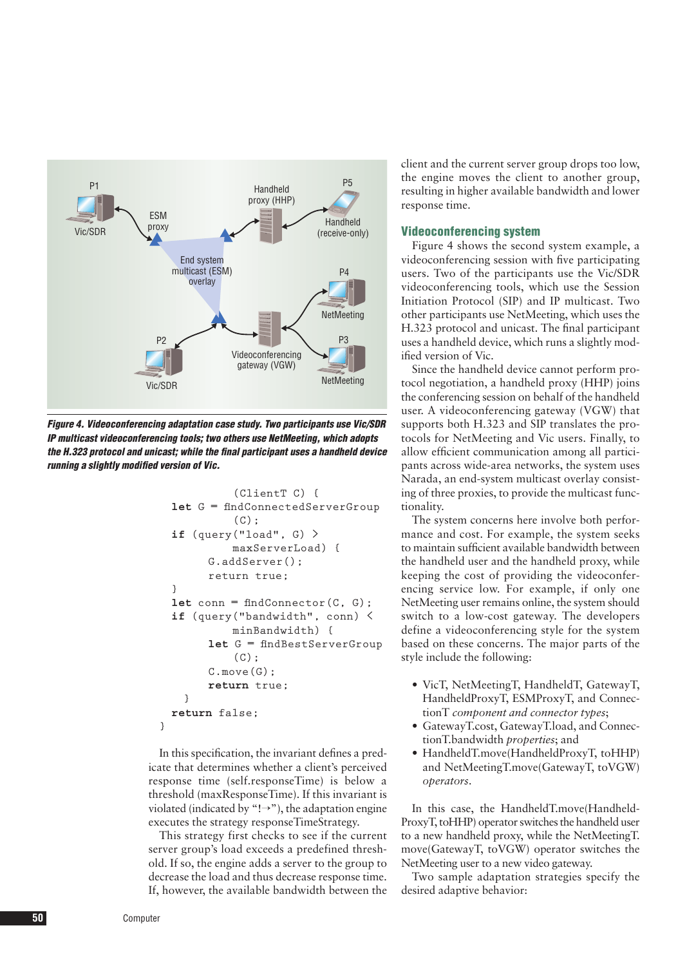

**Figure 4. Videoconferencing adaptation case study. Two participants use Vic/SDR IP multicast videoconferencing tools; two others use NetMeeting, which adopts the H.323 protocol and unicast; while the final participant uses a handheld device running a slightly modified version of Vic.**

```
(ClientT C) {
let G = findConnectedServerGroup
          (C);
if (query("load", G) > 
         maxServerLoad) {
     G.addServer();
      return true;
}
let conn = findConnector(C, G);
if (query("bandwidth", conn) < 
         minBandwidth) {
      let G = findBestServerGroup
          (C);
     C.move(G);
     return true;
  }
return false;
```
In this specification, the invariant defines a predicate that determines whether a client's perceived response time (self.responseTime) is below a threshold (maxResponseTime). If this invariant is violated (indicated by "! $\rightarrow$ "), the adaptation engine executes the strategy responseTimeStrategy.

This strategy first checks to see if the current server group's load exceeds a predefined threshold. If so, the engine adds a server to the group to decrease the load and thus decrease response time. If, however, the available bandwidth between the client and the current server group drops too low, the engine moves the client to another group, resulting in higher available bandwidth and lower response time.

#### **Videoconferencing system**

Figure 4 shows the second system example, a videoconferencing session with five participating users. Two of the participants use the Vic/SDR videoconferencing tools, which use the Session Initiation Protocol (SIP) and IP multicast. Two other participants use NetMeeting, which uses the H.323 protocol and unicast. The final participant uses a handheld device, which runs a slightly modified version of Vic.

Since the handheld device cannot perform protocol negotiation, a handheld proxy (HHP) joins the conferencing session on behalf of the handheld user. A videoconferencing gateway (VGW) that supports both H.323 and SIP translates the protocols for NetMeeting and Vic users. Finally, to allow efficient communication among all participants across wide-area networks, the system uses Narada, an end-system multicast overlay consisting of three proxies, to provide the multicast functionality.

The system concerns here involve both performance and cost. For example, the system seeks to maintain sufficient available bandwidth between the handheld user and the handheld proxy, while keeping the cost of providing the videoconferencing service low. For example, if only one NetMeeting user remains online, the system should switch to a low-cost gateway. The developers define a videoconferencing style for the system based on these concerns. The major parts of the style include the following:

- VicT, NetMeetingT, HandheldT, GatewayT, HandheldProxyT, ESMProxyT, and ConnectionT *component and connector types*;
- GatewayT.cost, GatewayT.load, and ConnectionT.bandwidth *properties*; and
- HandheldT.move(HandheldProxyT, toHHP) and NetMeetingT.move(GatewayT, toVGW) *operators*.

In this case, the HandheldT.move(Handheld-ProxyT, toHHP) operator switches the handheld user to a new handheld proxy, while the NetMeetingT. move(GatewayT, toVGW) operator switches the NetMeeting user to a new video gateway.

Two sample adaptation strategies specify the desired adaptive behavior:

**}**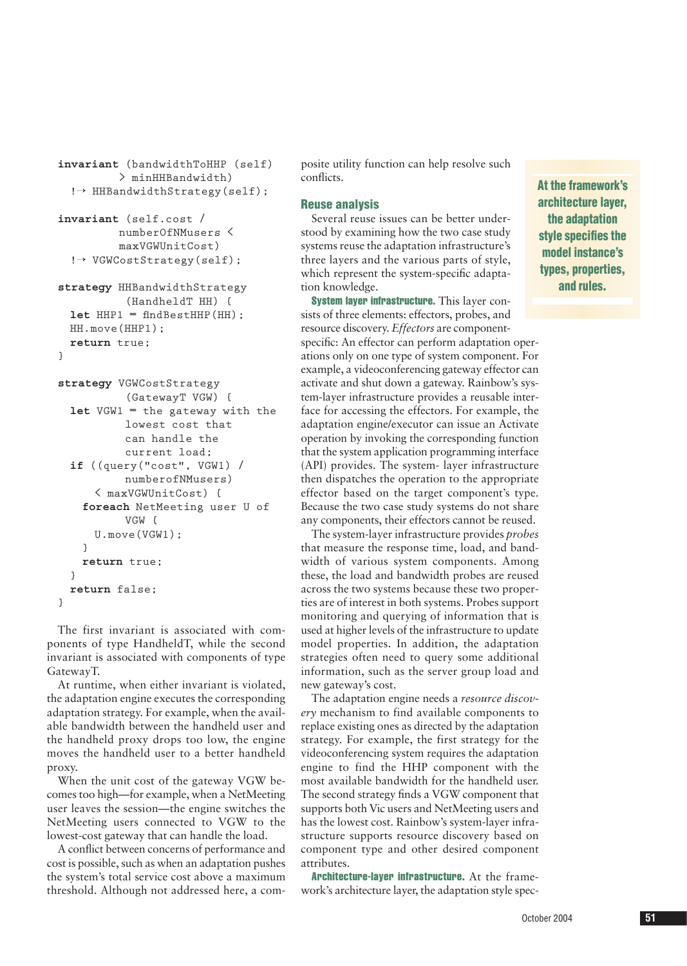```
invariant (bandwidthToHHP (self) 
         > minHHBandwidth)
  !→ HHBandwidthStrategy(self);
```

```
invariant (self.cost / 
         numberOfNMusers < 
         maxVGWUnitCost) 
  !→ VGWCostStrategy(self);
```

```
strategy HHBandwidthStrategy 
          (HandheldT HH) {
 let HHP1 = findBestHHP(HH);
 HH.move(HHP1);
 return true;
```

```
}
```

```
strategy VGWCostStrategy 
          (GatewayT VGW) {
 let VGW1 = the gateway with the 
          lowest cost that
          can handle the 
          current load;
 if ((query("cost", VGW1) / 
          numberofNMusers)
     < maxVGWUnitCost) {
    foreach NetMeeting user U of 
          VGW {
     U.move(VGW1);
    }
   return true;
  }
 return false;
}
```
The first invariant is associated with components of type HandheldT, while the second invariant is associated with components of type GatewayT.

At runtime, when either invariant is violated, the adaptation engine executes the corresponding adaptation strategy. For example, when the available bandwidth between the handheld user and the handheld proxy drops too low, the engine moves the handheld user to a better handheld proxy.

When the unit cost of the gateway VGW becomes too high—for example, when a NetMeeting user leaves the session—the engine switches the NetMeeting users connected to VGW to the lowest-cost gateway that can handle the load.

A conflict between concerns of performance and cost is possible, such as when an adaptation pushes the system's total service cost above a maximum threshold. Although not addressed here, a com-

posite utility function can help resolve such conflicts.

#### **Reuse analysis**

Several reuse issues can be better understood by examining how the two case study systems reuse the adaptation infrastructure's three layers and the various parts of style, which represent the system-specific adaptation knowledge.

System layer infrastructure. This layer consists of three elements: effectors, probes, and resource discovery. *Effectors* are componentspecific: An effector can perform adaptation operations only on one type of system component. For example, a videoconferencing gateway effector can activate and shut down a gateway. Rainbow's system-layer infrastructure provides a reusable interface for accessing the effectors. For example, the adaptation engine/executor can issue an Activate operation by invoking the corresponding function that the system application programming interface (API) provides. The system- layer infrastructure then dispatches the operation to the appropriate effector based on the target component's type. Because the two case study systems do not share any components, their effectors cannot be reused.

The system-layer infrastructure provides *probes* that measure the response time, load, and bandwidth of various system components. Among these, the load and bandwidth probes are reused across the two systems because these two properties are of interest in both systems. Probes support monitoring and querying of information that is used at higher levels of the infrastructure to update model properties. In addition, the adaptation strategies often need to query some additional information, such as the server group load and new gateway's cost.

The adaptation engine needs a *resource discovery* mechanism to find available components to replace existing ones as directed by the adaptation strategy. For example, the first strategy for the videoconferencing system requires the adaptation engine to find the HHP component with the most available bandwidth for the handheld user. The second strategy finds a VGW component that supports both Vic users and NetMeeting users and has the lowest cost. Rainbow's system-layer infrastructure supports resource discovery based on component type and other desired component attributes.

Architecture-layer infrastructure. At the framework's architecture layer, the adaptation style spec-

**At the framework's architecture layer, the adaptation style specifies the model instance's types, properties, and rules.**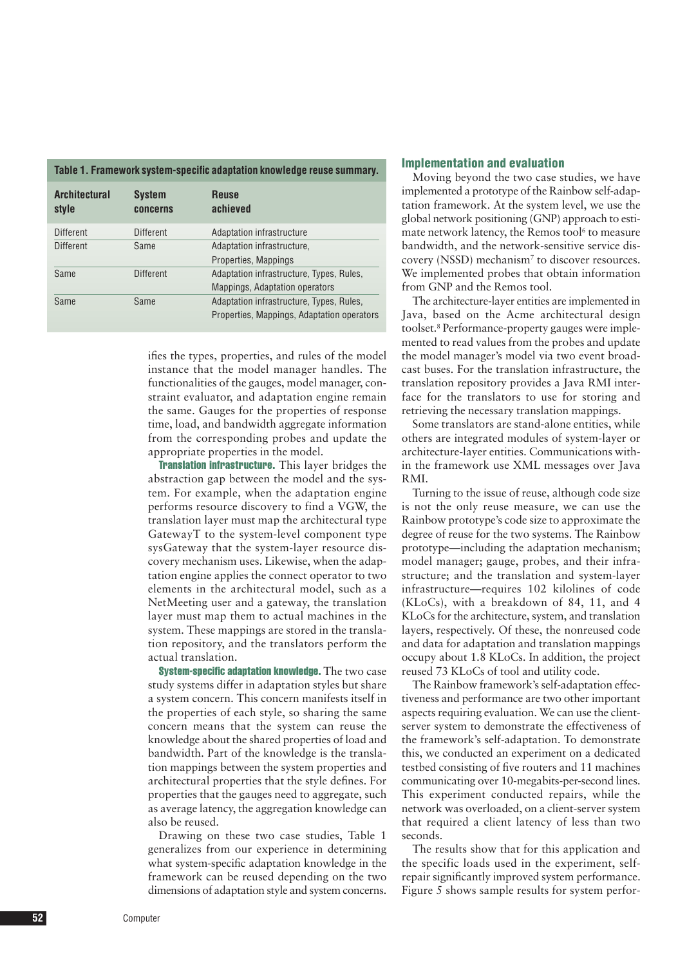| <b>Architectural</b><br>style | <b>System</b><br><b>concerns</b> | <b>Reuse</b><br>achieved                   |
|-------------------------------|----------------------------------|--------------------------------------------|
| <b>Different</b>              | Different                        | Adaptation infrastructure                  |
| <b>Different</b>              | <b>Same</b>                      | Adaptation infrastructure,                 |
|                               |                                  | Properties, Mappings                       |
| <b>Same</b>                   | Different                        | Adaptation infrastructure, Types, Rules,   |
|                               |                                  | Mappings, Adaptation operators             |
| <b>Same</b>                   | <b>Same</b>                      | Adaptation infrastructure, Types, Rules,   |
|                               |                                  | Properties, Mappings, Adaptation operators |

#### **Table 1. Framework system-specific adaptation knowledge reuse summary.**

ifies the types, properties, and rules of the model instance that the model manager handles. The functionalities of the gauges, model manager, constraint evaluator, and adaptation engine remain the same. Gauges for the properties of response time, load, and bandwidth aggregate information from the corresponding probes and update the appropriate properties in the model.

Translation infrastructure. This layer bridges the abstraction gap between the model and the system. For example, when the adaptation engine performs resource discovery to find a VGW, the translation layer must map the architectural type GatewayT to the system-level component type sysGateway that the system-layer resource discovery mechanism uses. Likewise, when the adaptation engine applies the connect operator to two elements in the architectural model, such as a NetMeeting user and a gateway, the translation layer must map them to actual machines in the system. These mappings are stored in the translation repository, and the translators perform the actual translation.

System-specific adaptation knowledge. The two case study systems differ in adaptation styles but share a system concern. This concern manifests itself in the properties of each style, so sharing the same concern means that the system can reuse the knowledge about the shared properties of load and bandwidth. Part of the knowledge is the translation mappings between the system properties and architectural properties that the style defines. For properties that the gauges need to aggregate, such as average latency, the aggregation knowledge can also be reused.

Drawing on these two case studies, Table 1 generalizes from our experience in determining what system-specific adaptation knowledge in the framework can be reused depending on the two dimensions of adaptation style and system concerns.

#### **Implementation and evaluation**

Moving beyond the two case studies, we have implemented a prototype of the Rainbow self-adaptation framework. At the system level, we use the global network positioning (GNP) approach to estimate network latency, the Remos tool<sup>6</sup> to measure bandwidth, and the network-sensitive service discovery (NSSD) mechanism7 to discover resources. We implemented probes that obtain information from GNP and the Remos tool.

The architecture-layer entities are implemented in Java, based on the Acme architectural design toolset.8 Performance-property gauges were implemented to read values from the probes and update the model manager's model via two event broadcast buses. For the translation infrastructure, the translation repository provides a Java RMI interface for the translators to use for storing and retrieving the necessary translation mappings.

Some translators are stand-alone entities, while others are integrated modules of system-layer or architecture-layer entities. Communications within the framework use XML messages over Java RMI.

Turning to the issue of reuse, although code size is not the only reuse measure, we can use the Rainbow prototype's code size to approximate the degree of reuse for the two systems. The Rainbow prototype—including the adaptation mechanism; model manager; gauge, probes, and their infrastructure; and the translation and system-layer infrastructure—requires 102 kilolines of code (KLoCs), with a breakdown of 84, 11, and 4 KLoCs for the architecture, system, and translation layers, respectively. Of these, the nonreused code and data for adaptation and translation mappings occupy about 1.8 KLoCs. In addition, the project reused 73 KLoCs of tool and utility code.

The Rainbow framework's self-adaptation effectiveness and performance are two other important aspects requiring evaluation. We can use the clientserver system to demonstrate the effectiveness of the framework's self-adaptation. To demonstrate this, we conducted an experiment on a dedicated testbed consisting of five routers and 11 machines communicating over 10-megabits-per-second lines. This experiment conducted repairs, while the network was overloaded, on a client-server system that required a client latency of less than two seconds.

The results show that for this application and the specific loads used in the experiment, selfrepair significantly improved system performance. Figure 5 shows sample results for system perfor-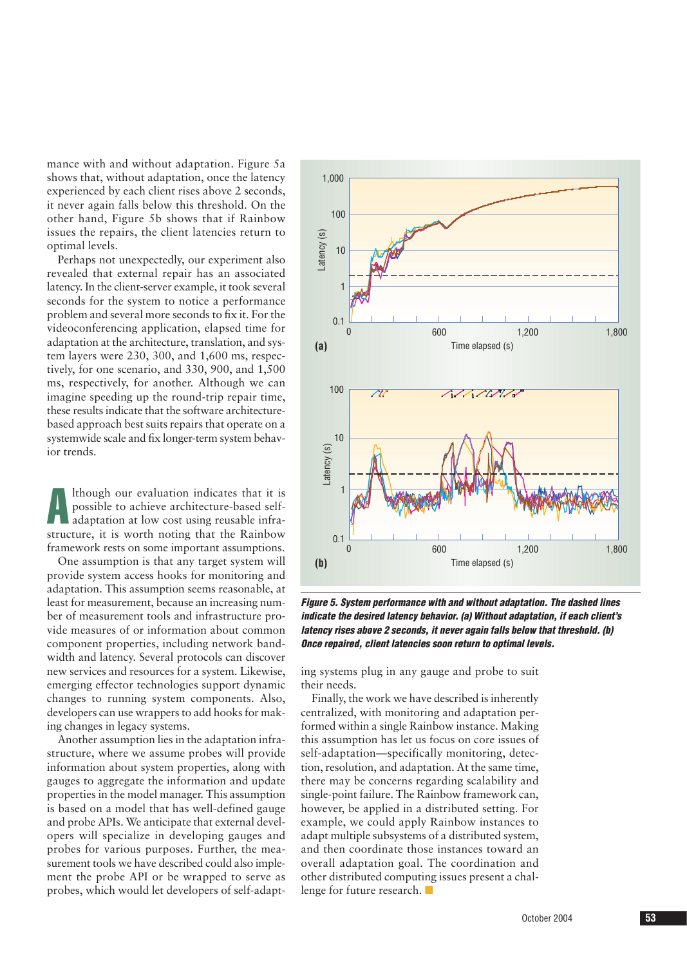mance with and without adaptation. Figure 5a shows that, without adaptation, once the latency experienced by each client rises above 2 seconds, it never again falls below this threshold. On the other hand, Figure 5b shows that if Rainbow issues the repairs, the client latencies return to optimal levels.

Perhaps not unexpectedly, our experiment also revealed that external repair has an associated latency. In the client-server example, it took several seconds for the system to notice a performance problem and several more seconds to fix it. For the videoconferencing application, elapsed time for adaptation at the architecture, translation, and system layers were 230, 300, and 1,600 ms, respectively, for one scenario, and 330, 900, and 1,500 ms, respectively, for another. Although we can imagine speeding up the round-trip repair time, these results indicate that the software architecturebased approach best suits repairs that operate on a systemwide scale and fix longer-term system behavior trends.

A lthough our evaluation indicates that it is possible to achieve architecture-based selfadaptation at low cost using reusable infrastructure, it is worth noting that the Rainbow framework rests on some important assumptions.

One assumption is that any target system will provide system access hooks for monitoring and adaptation. This assumption seems reasonable, at least for measurement, because an increasing number of measurement tools and infrastructure provide measures of or information about common component properties, including network bandwidth and latency. Several protocols can discover new services and resources for a system. Likewise, emerging effector technologies support dynamic changes to running system components. Also, developers can use wrappers to add hooks for making changes in legacy systems.

Another assumption lies in the adaptation infrastructure, where we assume probes will provide information about system properties, along with gauges to aggregate the information and update properties in the model manager. This assumption is based on a model that has well-defined gauge and probe APIs. We anticipate that external developers will specialize in developing gauges and probes for various purposes. Further, the measurement tools we have described could also implement the probe API or be wrapped to serve as probes, which would let developers of self-adapt-



**Figure 5. System performance with and without adaptation. The dashed lines indicate the desired latency behavior. (a) Without adaptation, if each client's latency rises above 2 seconds, it never again falls below that threshold. (b) Once repaired, client latencies soon return to optimal levels.**

ing systems plug in any gauge and probe to suit their needs.

Finally, the work we have described is inherently centralized, with monitoring and adaptation performed within a single Rainbow instance. Making this assumption has let us focus on core issues of self-adaptation—specifically monitoring, detection, resolution, and adaptation. At the same time, there may be concerns regarding scalability and single-point failure. The Rainbow framework can, however, be applied in a distributed setting. For example, we could apply Rainbow instances to adapt multiple subsystems of a distributed system, and then coordinate those instances toward an overall adaptation goal. The coordination and other distributed computing issues present a challenge for future research. ■